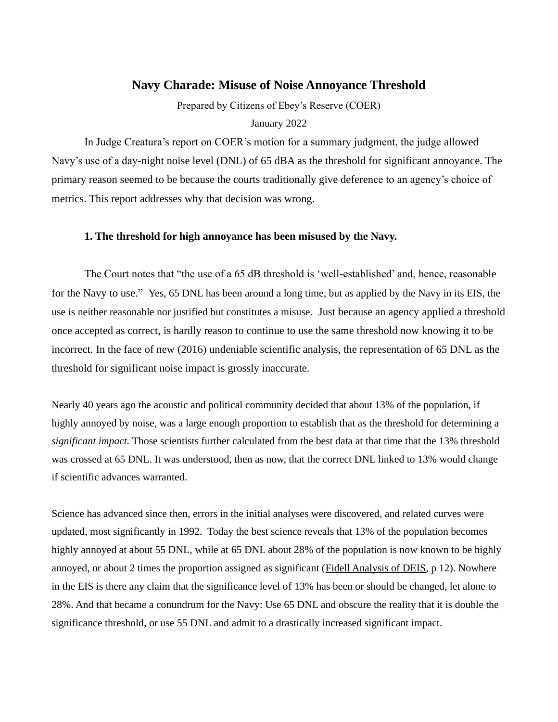## **Navy Charade: Misuse of Noise Annoyance Threshold**

Prepared by Citizens of Ebey's Reserve (COER)

#### January 2022

In Judge Creatura's report on COER's motion for a summary judgment, the judge allowed Navy's use of a day-night noise level (DNL) of 65 dBA as the threshold for significant annoyance. The primary reason seemed to be because the courts traditionally give deference to an agency's choice of metrics. This report addresses why that decision was wrong.

#### **1. The threshold for high annoyance has been misused by the Navy.**

The Court notes that "the use of a 65 dB threshold is 'well-established' and, hence, reasonable for the Navy to use." Yes, 65 DNL has been around a long time, but as applied by the Navy in its EIS, the use is neither reasonable nor justified but constitutes a misuse. Just because an agency applied a threshold once accepted as correct, is hardly reason to continue to use the same threshold now knowing it to be incorrect. In the face of new (2016) undeniable scientific analysis, the representation of 65 DNL as the threshold for significant noise impact is grossly inaccurate.

Nearly 40 years ago the acoustic and political community decided that about 13% of the population, if highly annoyed by noise, was a large enough proportion to establish that as the threshold for determining a *significant impact.* Those scientists further calculated from the best data at that time that the 13% threshold was crossed at 65 DNL. It was understood, then as now, that the correct DNL linked to 13% would change if scientific advances warranted.

Science has advanced since then, errors in the initial analyses were discovered, and related curves were updated, most significantly in 1992. Today the best science reveals that 13% of the population becomes highly annoyed at about 55 DNL, while at 65 DNL about 28% of the population is now known to be highly annoyed, or about 2 times the proportion assigned as significant [\(Fidell Analysis of DEIS,](https://citizensofebeysreserve.com/Files/DEIS-Comments/FIDELL-COMMENTS-NAVY-DEIS.pdf) p 12). Nowhere in the EIS is there any claim that the significance level of 13% has been or should be changed, let alone to 28%. And that became a conundrum for the Navy: Use 65 DNL and obscure the reality that it is double the significance threshold, or use 55 DNL and admit to a drastically increased significant impact.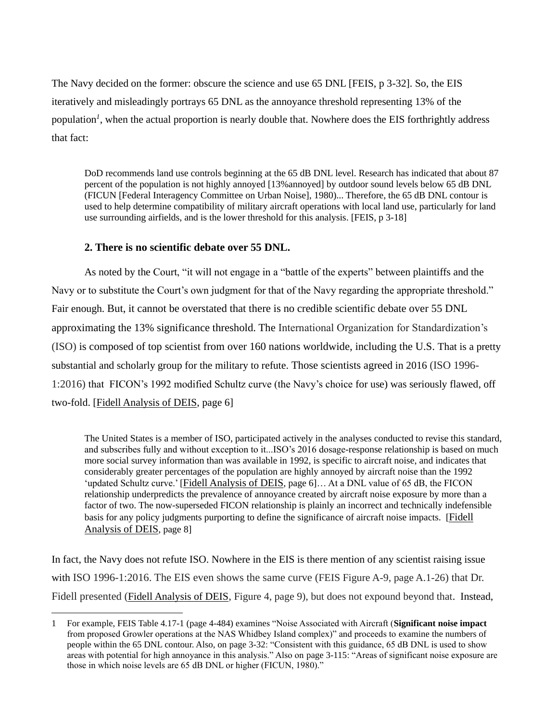The Navy decided on the former: obscure the science and use 65 DNL [FEIS, p 3-32]. So, the EIS iteratively and misleadingly portrays 65 DNL as the annoyance threshold representing 13% of the population<sup>*l*</sup>, when the actual proportion is nearly double that. Nowhere does the EIS forthrightly address that fact:

DoD recommends land use controls beginning at the 65 dB DNL level. Research has indicated that about 87 percent of the population is not highly annoyed [13%annoyed] by outdoor sound levels below 65 dB DNL (FICUN [Federal Interagency Committee on Urban Noise], 1980)... Therefore, the 65 dB DNL contour is used to help determine compatibility of military aircraft operations with local land use, particularly for land use surrounding airfields, and is the lower threshold for this analysis. [FEIS, p 3-18]

### **2. There is no scientific debate over 55 DNL.**

As noted by the Court, "it will not engage in a "battle of the experts" between plaintiffs and the Navy or to substitute the Court's own judgment for that of the Navy regarding the appropriate threshold." Fair enough. But, it cannot be overstated that there is no credible scientific debate over 55 DNL approximating the 13% significance threshold. The International Organization for Standardization's (ISO) is composed of top scientist from over 160 nations worldwide, including the U.S. That is a pretty substantial and scholarly group for the military to refute. Those scientists agreed in 2016 (ISO 1996- 1:2016) that FICON's 1992 modified Schultz curve (the Navy's choice for use) was seriously flawed, off two-fold. [\[Fidell Analysis of DEIS,](https://citizensofebeysreserve.com/Files/DEIS-Comments/FIDELL-COMMENTS-NAVY-DEIS.pdf) page 6]

The United States is a member of ISO, participated actively in the analyses conducted to revise this standard, and subscribes fully and without exception to it...ISO's 2016 dosage-response relationship is based on much more social survey information than was available in 1992, is specific to aircraft noise, and indicates that considerably greater percentages of the population are highly annoyed by aircraft noise than the 1992 'updated Schultz curve.' [[Fidell Analysis of DEIS](https://citizensofebeysreserve.com/Files/DEIS-Comments/FIDELL-COMMENTS-NAVY-DEIS.pdf), page 6]… At a DNL value of 65 dB, the FICON relationship underpredicts the prevalence of annoyance created by aircraft noise exposure by more than a factor of two. The now-superseded FICON relationship is plainly an incorrect and technically indefensible basis for any policy judgments purporting to define the significance of aircraft noise impacts. [[Fidell](https://citizensofebeysreserve.com/Files/DEIS-Comments/FIDELL-COMMENTS-NAVY-DEIS.pdf)  [Analysis of DEIS](https://citizensofebeysreserve.com/Files/DEIS-Comments/FIDELL-COMMENTS-NAVY-DEIS.pdf), page 8]

In fact, the Navy does not refute ISO. Nowhere in the EIS is there mention of any scientist raising issue with ISO 1996-1:2016. The EIS even shows the same curve (FEIS Figure A-9, page A.1-26) that Dr. Fidell presented ([Fidell Analysis of DEIS](https://citizensofebeysreserve.com/Files/DEIS-Comments/FIDELL-COMMENTS-NAVY-DEIS.pdf), Figure 4, page 9), but does not expound beyond that. Instead,

<sup>1</sup> For example, FEIS Table 4.17-1 (page 4-484) examines "Noise Associated with Aircraft (**Significant noise impact** from proposed Growler operations at the NAS Whidbey Island complex)" and proceeds to examine the numbers of people within the 65 DNL contour. Also, on page 3-32: "Consistent with this guidance, 65 dB DNL is used to show areas with potential for high annoyance in this analysis." Also on page 3-115: "Areas of significant noise exposure are those in which noise levels are 65 dB DNL or higher (FICUN, 1980)."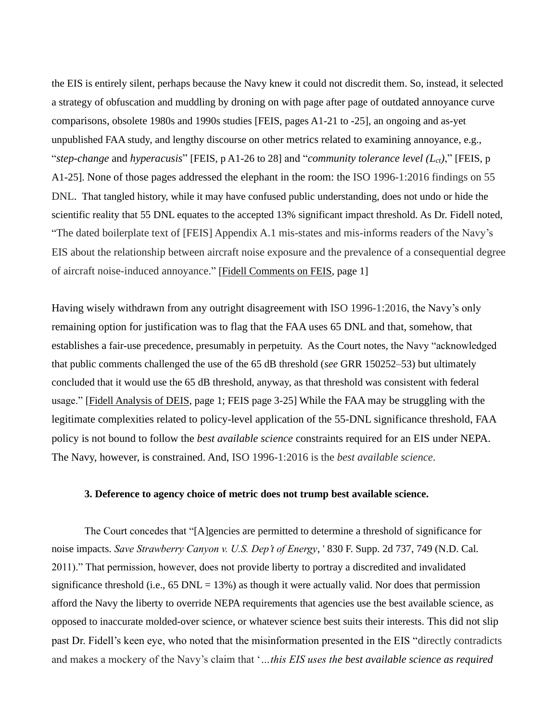the EIS is entirely silent, perhaps because the Navy knew it could not discredit them. So, instead, it selected a strategy of obfuscation and muddling by droning on with page after page of outdated annoyance curve comparisons, obsolete 1980s and 1990s studies [FEIS, pages A1-21 to -25], an ongoing and as-yet unpublished FAA study, and lengthy discourse on other metrics related to examining annoyance, e.g., "*step-change* and *hyperacusis*" [FEIS, p A1-26 to 28] and "*community tolerance level (Lct)*," [FEIS, p A1-25]. None of those pages addressed the elephant in the room: the ISO 1996-1:2016 findings on 55 DNL. That tangled history, while it may have confused public understanding, does not undo or hide the scientific reality that 55 DNL equates to the accepted 13% significant impact threshold. As Dr. Fidell noted, "The dated boilerplate text of [FEIS] Appendix A.1 mis-states and mis-informs readers of the Navy's EIS about the relationship between aircraft noise exposure and the prevalence of a consequential degree of aircraft noise-induced annoyance." [\[Fidell Comments on FEIS,](https://citizensofebeysreserve.com/wp-content/uploads/2022/02/Fidell-comments-for-COER-of-3-December-2018-1.pdf) page 1]

Having wisely withdrawn from any outright disagreement with ISO 1996-1:2016, the Navy's only remaining option for justification was to flag that the FAA uses 65 DNL and that, somehow, that establishes a fair-use precedence, presumably in perpetuity. As the Court notes, the Navy "acknowledged that public comments challenged the use of the 65 dB threshold (*see* GRR 150252–53) but ultimately concluded that it would use the 65 dB threshold, anyway, as that threshold was consistent with federal usage." [\[Fidell Analysis of DEIS,](https://citizensofebeysreserve.com/Files/DEIS-Comments/FIDELL-COMMENTS-NAVY-DEIS.pdf) page 1; FEIS page 3-25] While the FAA may be struggling with the legitimate complexities related to policy-level application of the 55-DNL significance threshold, FAA policy is not bound to follow the *best available science* constraints required for an EIS under NEPA. The Navy, however, is constrained. And, ISO 1996-1:2016 is the *best available science*.

#### **3. Deference to agency choice of metric does not trump best available science.**

The Court concedes that "[A]gencies are permitted to determine a threshold of significance for noise impacts. *Save Strawberry Canyon v. U.S. Dep't of Energy*, ' 830 F. Supp. 2d 737, 749 (N.D. Cal. 2011)." That permission, however, does not provide liberty to portray a discredited and invalidated significance threshold (i.e.,  $65$  DNL = 13%) as though it were actually valid. Nor does that permission afford the Navy the liberty to override NEPA requirements that agencies use the best available science, as opposed to inaccurate molded-over science, or whatever science best suits their interests. This did not slip past Dr. Fidell's keen eye, who noted that the misinformation presented in the EIS "directly contradicts and makes a mockery of the Navy's claim that '*…this EIS uses the best available science as required*